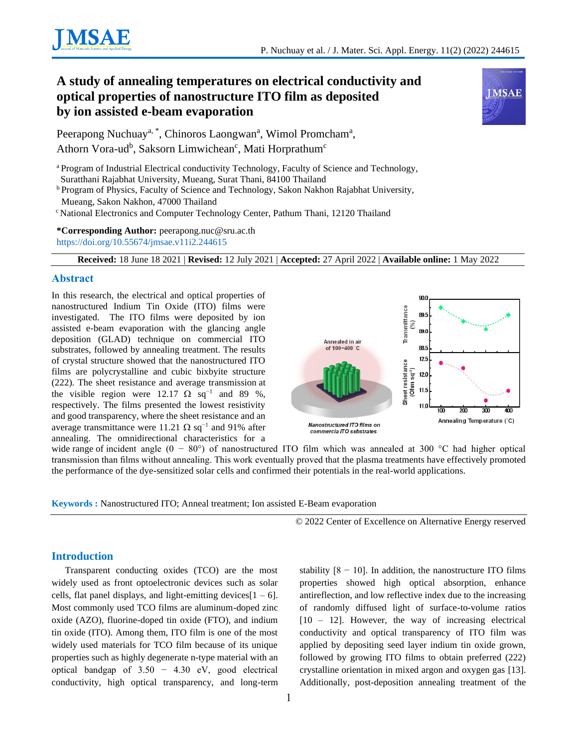

# **A study of annealing temperatures on electrical conductivity and optical properties of nanostructure ITO film as deposited by ion assisted e-beam evaporation**



Peerapong Nuchuay<sup>a, \*</sup>, Chinoros Laongwan<sup>a</sup>, Wimol Promcham<sup>a</sup>, Athorn Vora-ud<sup>b</sup>, Saksorn Limwichean<sup>c</sup>, Mati Horprathum<sup>c</sup>

<sup>a</sup> Program of Industrial Electrical conductivity Technology, Faculty of Science and Technology, Suratthani Rajabhat University, Mueang, Surat Thani, 84100 Thailand

<sup>b</sup> Program of Physics, Faculty of Science and Technology, Sakon Nakhon Rajabhat University, Mueang, Sakon Nakhon, 47000 Thailand

<sup>c</sup> National Electronics and Computer Technology Center, Pathum Thani, 12120 Thailand

**\*Corresponding Author:** peerapong.nuc@sru.ac.th

<https://doi.org/10.55674/jmsae.v11i2.244615>

**Received:** 18 June 18 2021 | **Revised:** 12 July 2021 | **Accepted:** 27 April 2022 | **Available online:** 1 May 2022

#### **Abstract**

In this research, the electrical and optical properties of nanostructured Indium Tin Oxide (ITO) films were investigated. The ITO films were deposited by ion assisted e-beam evaporation with the glancing angle deposition (GLAD) technique on commercial ITO substrates, followed by annealing treatment. The results of crystal structure showed that the nanostructured ITO films are polycrystalline and cubic bixbyite structure (222). The sheet resistance and average transmission at the visible region were 12.17  $\Omega$  sq<sup>-1</sup> and 89 %, respectively. The films presented the lowest resistivity and good transparency, where the sheet resistance and an average transmittance were 11.21  $\Omega$  sq<sup>-1</sup> and 91% after annealing. The omnidirectional characteristics for a



wide range of incident angle  $(0 - 80^{\circ})$  of nanostructured ITO film which was annealed at 300 °C had higher optical transmission than films without annealing. This work eventually proved that the plasma treatments have effectively promoted the performance of the dye-sensitized solar cells and confirmed their potentials in the real-world applications.

**Keywords :** Nanostructured ITO; Anneal treatment; Ion assisted E-Beam evaporation

© 2022 Center of Excellence on Alternative Energy reserved

## **Introduction**

Transparent conducting oxides (TCO) are the most widely used as front optoelectronic devices such as solar cells, flat panel displays, and light-emitting devices $[1 - 6]$ . Most commonly used TCO films are aluminum-doped zinc oxide (AZO), fluorine-doped tin oxide (FTO), and indium tin oxide (ITO). Among them, ITO film is one of the most widely used materials for TCO film because of its unique properties such as highly degenerate n-type material with an optical bandgap of  $3.50 - 4.30$  eV, good electrical conductivity, high optical transparency, and long-term

stability  $[8 - 10]$ . In addition, the nanostructure ITO films properties showed high optical absorption, enhance antireflection, and low reflective index due to the increasing of randomly diffused light of surface-to-volume ratios [10 – 12]. However, the way of increasing electrical conductivity and optical transparency of ITO film was applied by depositing seed layer indium tin oxide grown, followed by growing ITO films to obtain preferred (222) crystalline orientation in mixed argon and oxygen gas [13]. Additionally, post-deposition annealing treatment of the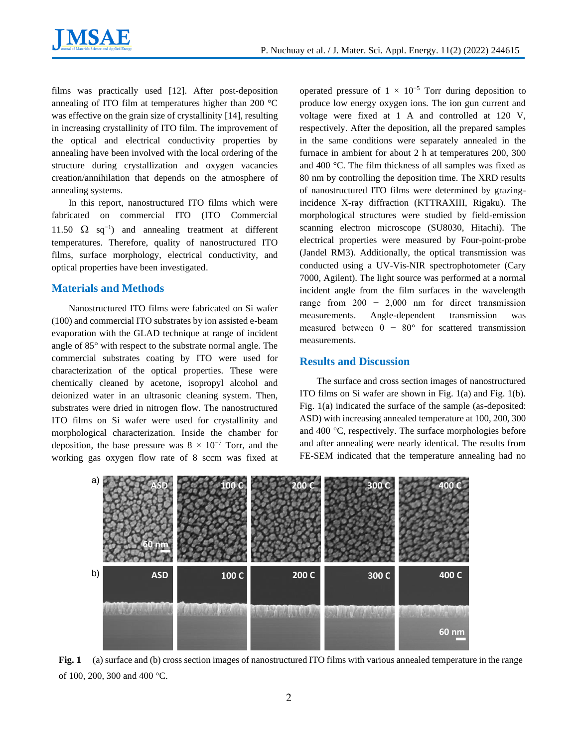

films was practically used [12]. After post-deposition annealing of ITO film at temperatures higher than 200 °C was effective on the grain size of crystallinity [14], resulting in increasing crystallinity of ITO film. The improvement of the optical and electrical conductivity properties by annealing have been involved with the local ordering of the structure during crystallization and oxygen vacancies creation/annihilation that depends on the atmosphere of annealing systems.

In this report, nanostructured ITO films which were fabricated on commercial ITO (ITO Commercial 11.50  $\Omega$  sq<sup>-1</sup>) and annealing treatment at different temperatures. Therefore, quality of nanostructured ITO films, surface morphology, electrical conductivity, and optical properties have been investigated.

### **Materials and Methods**

Nanostructured ITO films were fabricated on Si wafer (100) and commercial ITO substrates by ion assisted e-beam evaporation with the GLAD technique at range of incident angle of 85° with respect to the substrate normal angle. The commercial substrates coating by ITO were used for characterization of the optical properties. These were chemically cleaned by acetone, isopropyl alcohol and deionized water in an ultrasonic cleaning system. Then, substrates were dried in nitrogen flow. The nanostructured ITO films on Si wafer were used for crystallinity and morphological characterization. Inside the chamber for deposition, the base pressure was  $8 \times 10^{-7}$  Torr, and the working gas oxygen flow rate of 8 sccm was fixed at

operated pressure of  $1 \times 10^{-5}$  Torr during deposition to produce low energy oxygen ions. The ion gun current and voltage were fixed at 1 A and controlled at 120 V, respectively. After the deposition, all the prepared samples in the same conditions were separately annealed in the furnace in ambient for about 2 h at temperatures 200, 300 and 400 °C. The film thickness of all samples was fixed as 80 nm by controlling the deposition time. The XRD results of nanostructured ITO films were determined by grazingincidence X-ray diffraction (KTTRAXIII, Rigaku). The morphological structures were studied by field-emission scanning electron microscope (SU8030, Hitachi). The electrical properties were measured by Four-point-probe (Jandel RM3). Additionally, the optical transmission was conducted using a UV-Vis-NIR spectrophotometer (Cary 7000, Agilent). The light source was performed at a normal incident angle from the film surfaces in the wavelength range from  $200 - 2000$  nm for direct transmission measurements. Angle-dependent transmission was measured between  $0 - 80^{\circ}$  for scattered transmission measurements.

#### **Results and Discussion**

The surface and cross section images of nanostructured ITO films on Si wafer are shown in Fig. 1(a) and Fig. 1(b). Fig. 1(a) indicated the surface of the sample (as-deposited: ASD) with increasing annealed temperature at 100, 200, 300 and 400 °C, respectively. The surface morphologies before and after annealing were nearly identical. The results from FE-SEM indicated that the temperature annealing had no



**Fig. 1** (a) surface and (b) cross section images of nanostructured ITO films with various annealed temperature in the range of 100, 200, 300 and 400 °C.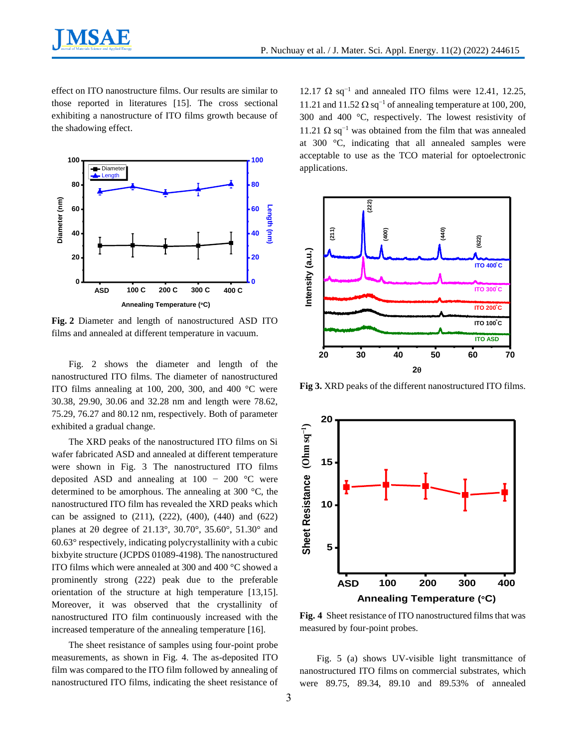effect on ITO nanostructure films. Our results are similar to those reported in literatures [15]. The cross sectional exhibiting a nanostructure of ITO films growth because of the shadowing effect.



**Fig. 2** Diameter and length of nanostructured ASD ITO films and annealed at different temperature in vacuum.

Fig. 2 shows the diameter and length of the nanostructured ITO films. The diameter of nanostructured ITO films annealing at 100, 200, 300, and 400 °C were 30.38, 29.90, 30.06 and 32.28 nm and length were 78.62, 75.29, 76.27 and 80.12 nm, respectively. Both of parameter exhibited a gradual change.

The XRD peaks of the nanostructured ITO films on Si wafer fabricated ASD and annealed at different temperature were shown in Fig. 3 The nanostructured ITO films deposited ASD and annealing at  $100 - 200$  °C were determined to be amorphous. The annealing at 300 °C, the nanostructured ITO film has revealed the XRD peaks which can be assigned to (211), (222), (400), (440) and (622) planes at 20 degree of 21.13°, 30.70°, 35.60°, 51.30° and 60.63° respectively, indicating polycrystallinity with a cubic bixbyite structure (JCPDS 01089-4198). The nanostructured ITO films which were annealed at 300 and 400 °C showed a prominently strong (222) peak due to the preferable orientation of the structure at high temperature [13,15]. Moreover, it was observed that the crystallinity of nanostructured ITO film continuously increased with the increased temperature of the annealing temperature [16].

The sheet resistance of samples using four-point probe measurements, as shown in Fig. 4. The as-deposited ITO film was compared to the ITO film followed by annealing of nanostructured ITO films, indicating the sheet resistance of

12.17  $\Omega$  sq<sup>-1</sup> and annealed ITO films were 12.41, 12.25, 11.21 and 11.52  $\Omega$  sq<sup>-1</sup> of annealing temperature at 100, 200, 300 and 400 °C, respectively. The lowest resistivity of 11.21  $\Omega$  sq<sup>-1</sup> was obtained from the film that was annealed at 300 °C, indicating that all annealed samples were acceptable to use as the TCO material for optoelectronic applications.



**Fig 3.** XRD peaks of the different nanostructured ITO films.



**Fig. 4** Sheet resistance of ITO nanostructured films that was measured by four-point probes.

Fig. 5 (a) shows UV-visible light transmittance of nanostructured ITO films on commercial substrates, which were 89.75, 89.34, 89.10 and 89.53% of annealed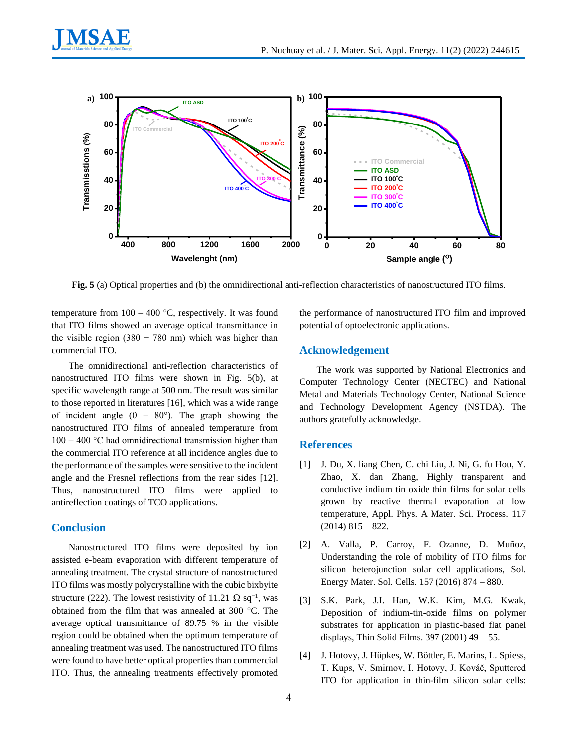



**Fig. 5** (a) Optical properties and (b) the omnidirectional anti-reflection characteristics of nanostructured ITO films.

temperature from  $100 - 400$  °C, respectively. It was found that ITO films showed an average optical transmittance in the visible region  $(380 - 780)$  nm) which was higher than commercial ITO.

The omnidirectional anti-reflection characteristics of nanostructured ITO films were shown in Fig. 5(b), at specific wavelength range at 500 nm. The result was similar to those reported in literatures [16], which was a wide range of incident angle  $(0 - 80^{\circ})$ . The graph showing the nanostructured ITO films of annealed temperature from 100 − 400 °C had omnidirectional transmission higher than the commercial ITO reference at all incidence angles due to the performance of the samples were sensitive to the incident angle and the Fresnel reflections from the rear sides [12]. Thus, nanostructured ITO films were applied to antireflection coatings of TCO applications.

#### **Conclusion**

Nanostructured ITO films were deposited by ion assisted e-beam evaporation with different temperature of annealing treatment. The crystal structure of nanostructured ITO films was mostly polycrystalline with the cubic bixbyite structure (222). The lowest resistivity of 11.21  $\Omega$  sq<sup>-1</sup>, was obtained from the film that was annealed at 300 °C. The average optical transmittance of 89.75 % in the visible region could be obtained when the optimum temperature of annealing treatment was used. The nanostructured ITO films were found to have better optical properties than commercial ITO. Thus, the annealing treatments effectively promoted

the performance of nanostructured ITO film and improved potential of optoelectronic applications.

#### **Acknowledgement**

The work was supported by National Electronics and Computer Technology Center (NECTEC) and National Metal and Materials Technology Center, National Science and Technology Development Agency (NSTDA). The authors gratefully acknowledge.

#### **References**

- [1] J. Du, X. liang Chen, C. chi Liu, J. Ni, G. fu Hou, Y. Zhao, X. dan Zhang, Highly transparent and conductive indium tin oxide thin films for solar cells grown by reactive thermal evaporation at low temperature, Appl. Phys. A Mater. Sci. Process. 117  $(2014)$  815 – 822.
- [2] A. Valla, P. Carroy, F. Ozanne, D. Muñoz, Understanding the role of mobility of ITO films for silicon heterojunction solar cell applications, Sol. Energy Mater. Sol. Cells. 157 (2016) 874 – 880.
- [3] S.K. Park, J.I. Han, W.K. Kim, M.G. Kwak, Deposition of indium-tin-oxide films on polymer substrates for application in plastic-based flat panel displays, Thin Solid Films. 397 (2001) 49 – 55.
- [4] J. Hotovy, J. Hüpkes, W. Böttler, E. Marins, L. Spiess, T. Kups, V. Smirnov, I. Hotovy, J. Kováč, Sputtered ITO for application in thin-film silicon solar cells: